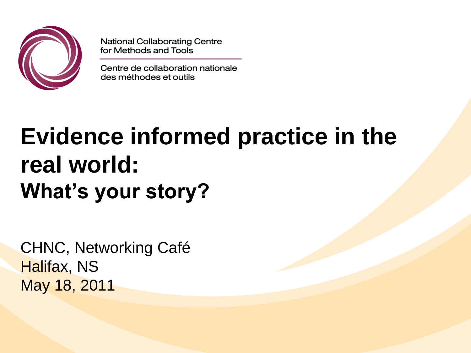

**National Collaborating Centre** for Methods and Tools

Centre de collaboration nationale des méthodes et outils

# **Evidence informed practice in the real world: What's your story?**

CHNC, Networking Café Halifax, NS May 18, 2011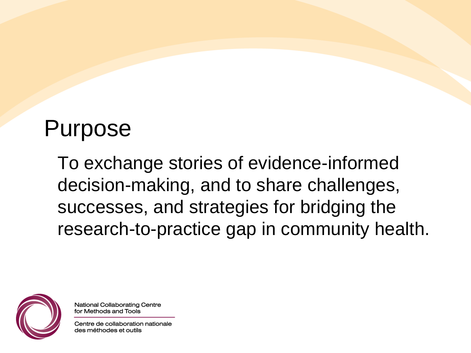#### Purpose

To exchange stories of evidence-informed decision-making, and to share challenges, successes, and strategies for bridging the research-to-practice gap in community health.



National Collaborating Centre for Methods and Tools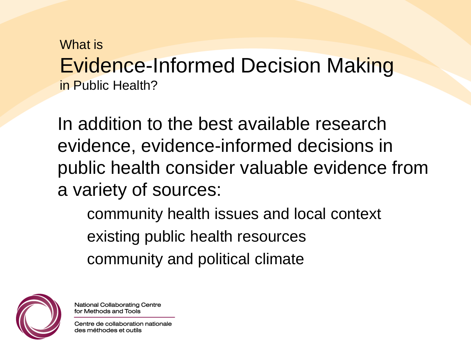#### What is Evidence-Informed Decision Making in Public Health?

In addition to the best available research evidence, evidence-informed decisions in public health consider valuable evidence from a variety of sources:

community health issues and local context existing public health resources community and political climate



National Collaborating Centre for Methods and Tools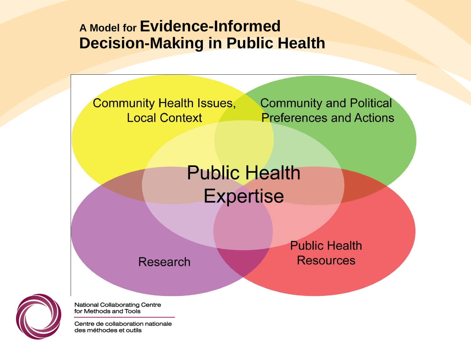#### A Model for Evidence-Informed **Decision-Making in Public Health**

**Community Health Issues, Local Context** 

**Community and Political Preferences and Actions** 

**Public Health Expertise** 

**Research** 

**Public Health Resources** 



National Collaborating Centre for Methods and Tools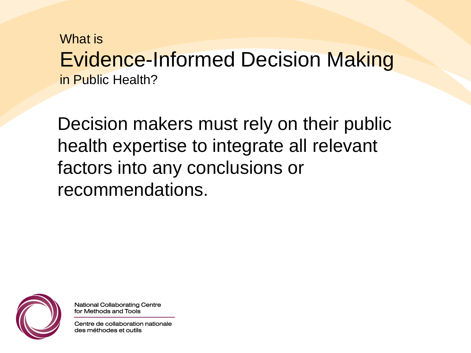#### What is Evidence-Informed Decision Making in Public Health?

Decision makers must rely on their public health expertise to integrate all relevant factors into any conclusions or recommendations.



National Collaborating Centre for Methods and Tools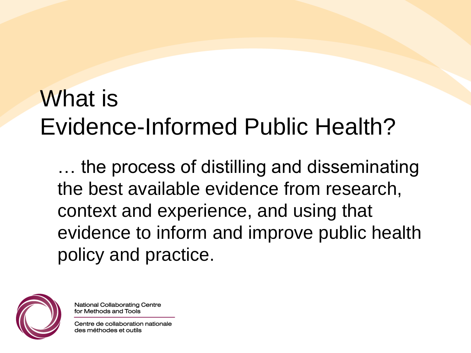#### What is Evidence-Informed Public Health?

… the process of distilling and disseminating the best available evidence from research, context and experience, and using that evidence to inform and improve public health policy and practice.



National Collaborating Centre for Methods and Tools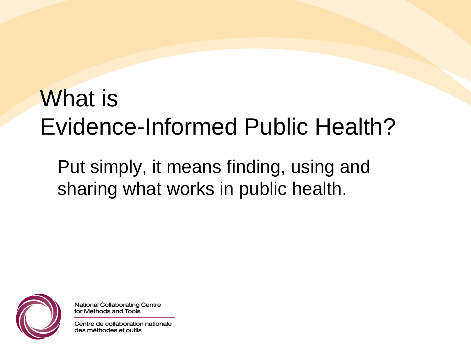#### What is Evidence-Informed Public Health?

Put simply, it means finding, using and sharing what works in public health.



National Collaborating Centre for Methods and Tools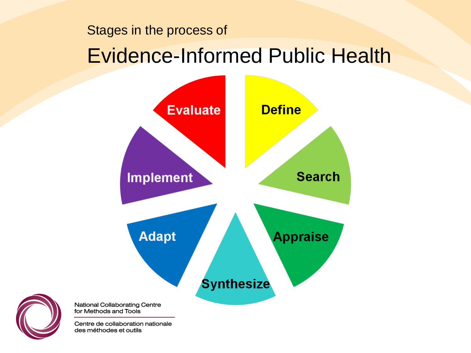#### Stages in the process of

#### Evidence-Informed Public Health





National Collaborating Centre for Methods and Tools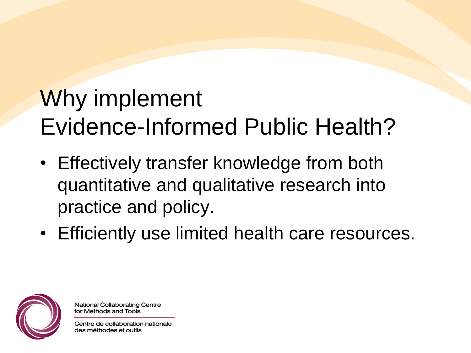# Why implement Evidence-Informed Public Health?

- Effectively transfer knowledge from both quantitative and qualitative research into practice and policy.
- Efficiently use limited health care resources.



National Collaborating Centre for Methods and Tools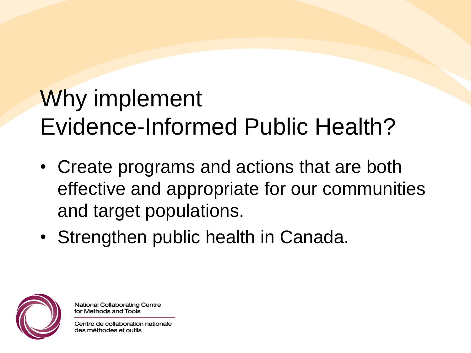# Why implement Evidence-Informed Public Health?

- Create programs and actions that are both effective and appropriate for our communities and target populations.
- Strengthen public health in Canada.



National Collaborating Centre for Methods and Tools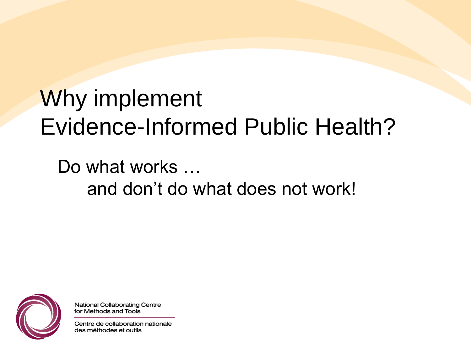## Why implement Evidence-Informed Public Health?

#### Do what works … and don't do what does not work!



National Collaborating Centre for Methods and Tools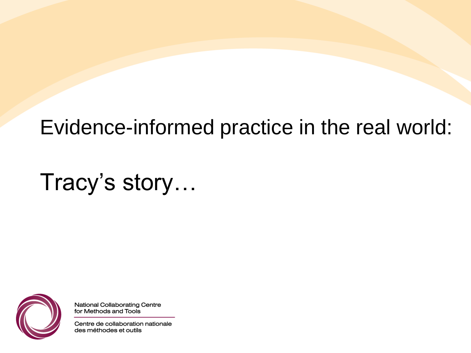#### Evidence-informed practice in the real world:

#### Tracy's story…



National Collaborating Centre for Methods and Tools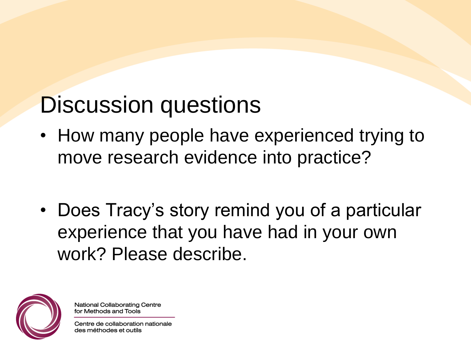#### Discussion questions

- How many people have experienced trying to move research evidence into practice?
- Does Tracy's story remind you of a particular experience that you have had in your own work? Please describe.



National Collaborating Centre for Methods and Tools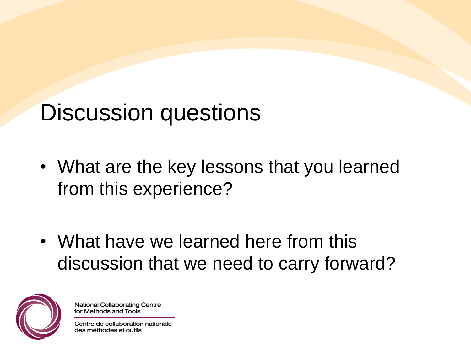#### Discussion questions

- What are the key lessons that you learned from this experience?
- What have we learned here from this discussion that we need to carry forward?



National Collaborating Centre for Methods and Tools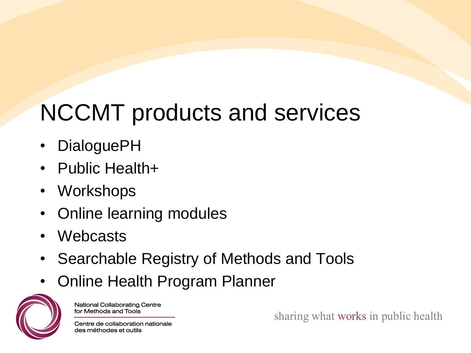## NCCMT products and services

- DialoguePH
- Public Health+
- Workshops
- Online learning modules
- Webcasts
- Searchable Registry of Methods and Tools
- Online Health Program Planner



National Collaborating Centre for Methods and Tools

Centre de collaboration nationale des méthodes et outils

sharing what works in public health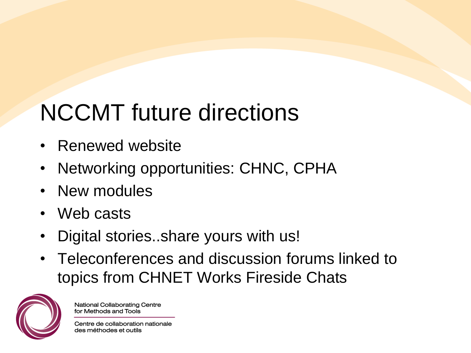## NCCMT future directions

- Renewed website
- Networking opportunities: CHNC, CPHA
- New modules
- Web casts
- Digital stories..share yours with us!
- Teleconferences and discussion forums linked to topics from CHNET Works Fireside Chats



National Collaborating Centre for Methods and Tools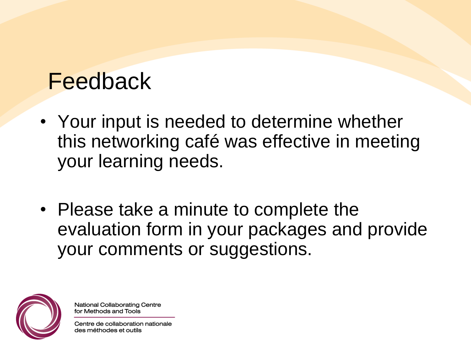#### **Feedback**

- Your input is needed to determine whether this networking café was effective in meeting your learning needs.
- Please take a minute to complete the evaluation form in your packages and provide your comments or suggestions.



National Collaborating Centre for Methods and Tools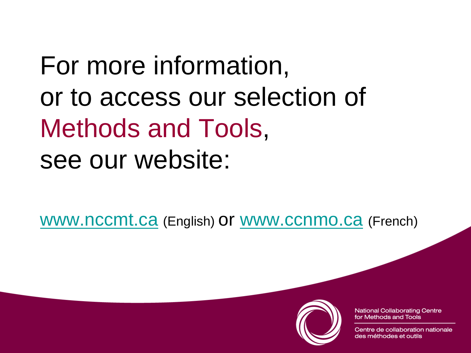# For more information, or to access our selection of Methods and Tools, see our website:

[www.nccmt.ca](http://www.nccmt.ca/) (English) or [www.ccnmo.ca](http://www.ccnmo.ca/) (French)



**National Collaborating Centre** for Methods and Tools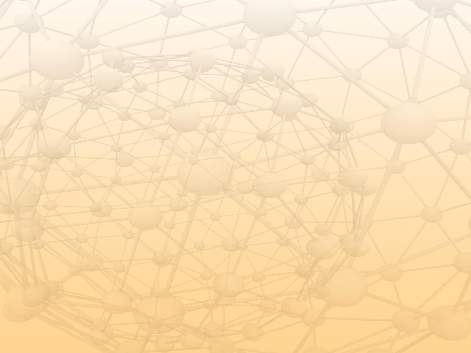